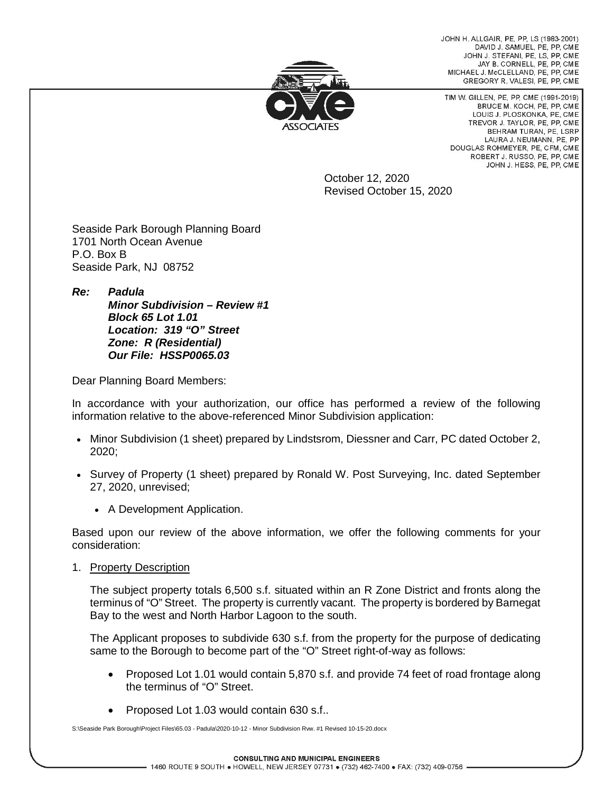JOHN H ALLGAIR PF PP LS (1983-2001) DAVID J. SAMUEL, PE, PP, CME JOHN J. STEFANI, PE, LS, PP, CME JAY B. CORNELL, PE, PP, CME MICHAEL J. McCLELLAND, PE, PP, CME GREGORY R. VALESI, PE, PP, CME



TIM W. GILLEN, PE, PP, CME (1991-2019) BRUCE M. KOCH, PE, PP, CME LOUIS J. PLOSKONKA, PE, CME TREVOR J. TAYLOR, PE, PP, CME BEHRAM TURAN, PE, LSRP LAURA J. NEUMANN, PE. PP DOUGLAS ROHMEYER, PE, CFM, CME ROBERT J. RUSSO, PE, PP, CME JOHN J. HESS, PE, PP, CME

October 12, 2020 Revised October 15, 2020

Seaside Park Borough Planning Board 1701 North Ocean Avenue P.O. Box B Seaside Park, NJ 08752

*Re: Padula Minor Subdivision – Review #1 Block 65 Lot 1.01 Location: 319 "O" Street Zone: R (Residential) Our File: HSSP0065.03*

Dear Planning Board Members:

In accordance with your authorization, our office has performed a review of the following information relative to the above-referenced Minor Subdivision application:

- Minor Subdivision (1 sheet) prepared by Lindstsrom, Diessner and Carr, PC dated October 2, 2020;
- Survey of Property (1 sheet) prepared by Ronald W. Post Surveying, Inc. dated September 27, 2020, unrevised;
	- A Development Application.

Based upon our review of the above information, we offer the following comments for your consideration:

1. Property Description

The subject property totals 6,500 s.f. situated within an R Zone District and fronts along the terminus of "O" Street. The property is currently vacant. The property is bordered by Barnegat Bay to the west and North Harbor Lagoon to the south.

The Applicant proposes to subdivide 630 s.f. from the property for the purpose of dedicating same to the Borough to become part of the "O" Street right-of-way as follows:

- Proposed Lot 1.01 would contain 5,870 s.f. and provide 74 feet of road frontage along the terminus of "O" Street.
- Proposed Lot 1.03 would contain 630 s.f..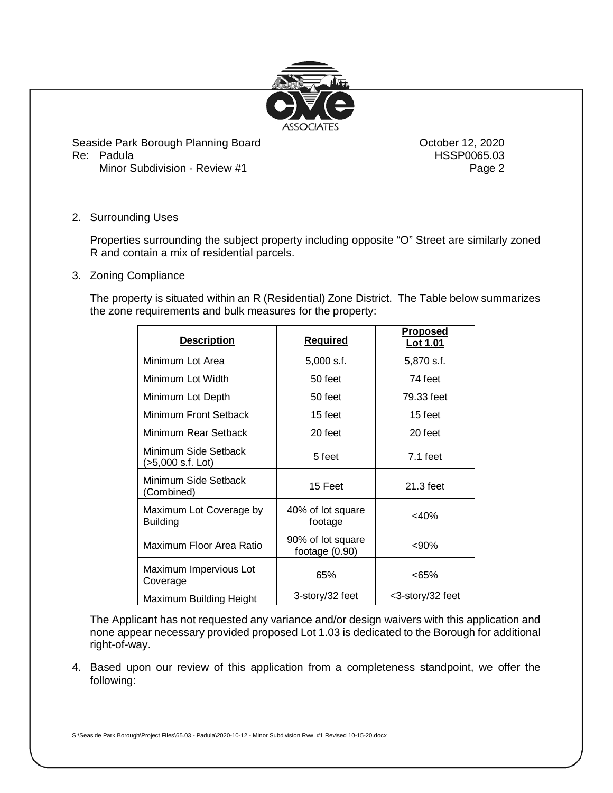

Seaside Park Borough Planning Board<br>Re: Padula Corologic Planning Board Corology (Casset Corology Planning Decision 12, 2020 Minor Subdivision - Review #1 Page 2

HSSP0065.03

## 2. Surrounding Uses

Properties surrounding the subject property including opposite "O" Street are similarly zoned R and contain a mix of residential parcels.

## 3. Zoning Compliance

The property is situated within an R (Residential) Zone District. The Table below summarizes the zone requirements and bulk measures for the property:

| <b>Description</b>                         | <b>Required</b>                     | <u>Proposed</u><br>Lot 1.01 |
|--------------------------------------------|-------------------------------------|-----------------------------|
| Minimum Lot Area                           | $5,000$ s.f.                        | 5,870 s.f.                  |
| Minimum Lot Width                          | 50 feet                             | 74 feet                     |
| Minimum Lot Depth                          | 50 feet                             | 79.33 feet                  |
| Minimum Front Setback                      | 15 feet                             | 15 feet                     |
| Minimum Rear Setback                       | 20 feet                             | 20 feet                     |
| Minimum Side Setback<br>(>5,000 s.f. Lot)  | 5 feet                              | 7.1 feet                    |
| Minimum Side Setback<br>(Combined)         | 15 Feet                             | 21.3 feet                   |
| Maximum Lot Coverage by<br><b>Building</b> | 40% of lot square<br>footage        | $<$ 40%                     |
| Maximum Floor Area Ratio                   | 90% of lot square<br>footage (0.90) | $<90\%$                     |
| Maximum Impervious Lot<br>Coverage         | 65%                                 | <65%                        |
| Maximum Building Height                    | 3-story/32 feet                     | <3-story/32 feet            |

The Applicant has not requested any variance and/or design waivers with this application and none appear necessary provided proposed Lot 1.03 is dedicated to the Borough for additional right-of-way.

4. Based upon our review of this application from a completeness standpoint, we offer the following: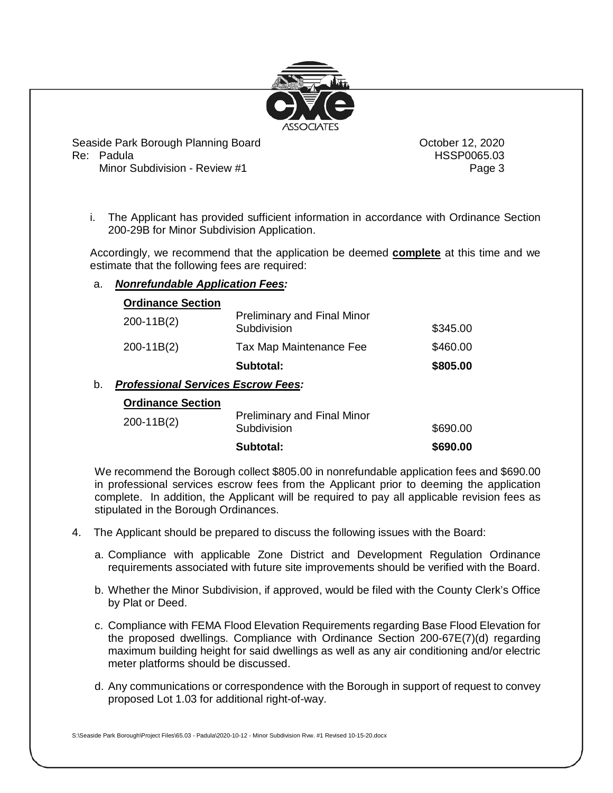

Seaside Park Borough Planning Board<br>Re: Padula Corologic Planning Board Corology (Casset Corology Planning Decision 12, 2020 Minor Subdivision - Review #1 **Page 3** Page 3

HSSP0065.03

i. The Applicant has provided sufficient information in accordance with Ordinance Section 200-29B for Minor Subdivision Application.

Accordingly, we recommend that the application be deemed **complete** at this time and we estimate that the following fees are required:

## a. *Nonrefundable Application Fees:*

|    | <b>Ordinance Section</b>                  |                                                   |          |
|----|-------------------------------------------|---------------------------------------------------|----------|
|    | $200-11B(2)$                              | Preliminary and Final Minor<br>Subdivision        | \$345.00 |
|    | $200-11B(2)$                              | Tax Map Maintenance Fee                           | \$460.00 |
|    |                                           | Subtotal:                                         | \$805.00 |
| b. | <b>Professional Services Escrow Fees:</b> |                                                   |          |
|    | <b>Ordinance Section</b>                  |                                                   |          |
|    | $200-11B(2)$                              | <b>Preliminary and Final Minor</b><br>Subdivision | RRQN NN  |

Subdivision \$690.00 **Subtotal: \$690.00**

We recommend the Borough collect \$805.00 in nonrefundable application fees and \$690.00 in professional services escrow fees from the Applicant prior to deeming the application complete. In addition, the Applicant will be required to pay all applicable revision fees as stipulated in the Borough Ordinances.

- 4. The Applicant should be prepared to discuss the following issues with the Board:
	- a. Compliance with applicable Zone District and Development Regulation Ordinance requirements associated with future site improvements should be verified with the Board.
	- b. Whether the Minor Subdivision, if approved, would be filed with the County Clerk's Office by Plat or Deed.
	- c. Compliance with FEMA Flood Elevation Requirements regarding Base Flood Elevation for the proposed dwellings. Compliance with Ordinance Section 200-67E(7)(d) regarding maximum building height for said dwellings as well as any air conditioning and/or electric meter platforms should be discussed.
	- d. Any communications or correspondence with the Borough in support of request to convey proposed Lot 1.03 for additional right-of-way.